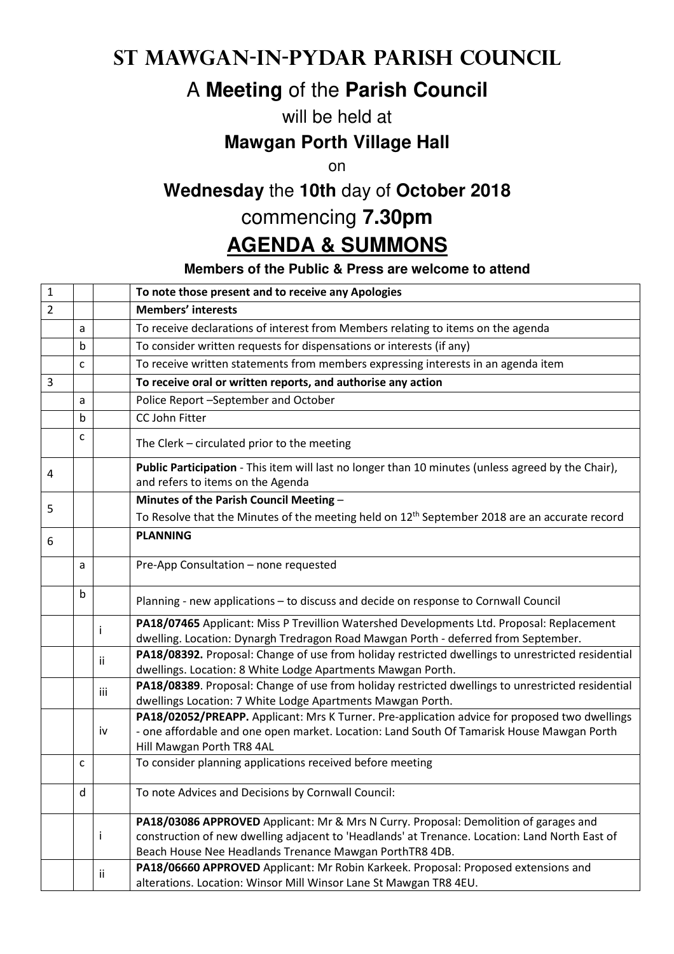### **St Mawgan-in-Pydar Parish Council**

## A **Meeting** of the **Parish Council**

#### will be held at

### **Mawgan Porth Village Hall**

on

# **Wednesday** the **10th** day of **October 2018**

# commencing **7.30pm**

## **AGENDA & SUMMONS**

#### **Members of the Public & Press are welcome to attend**

| $\mathbf 1$    |              |     | To note those present and to receive any Apologies                                                                                                                                                                                                |
|----------------|--------------|-----|---------------------------------------------------------------------------------------------------------------------------------------------------------------------------------------------------------------------------------------------------|
| $\overline{2}$ |              |     | <b>Members' interests</b>                                                                                                                                                                                                                         |
|                | a            |     | To receive declarations of interest from Members relating to items on the agenda                                                                                                                                                                  |
|                | $\mathbf b$  |     | To consider written requests for dispensations or interests (if any)                                                                                                                                                                              |
|                | $\mathsf{C}$ |     | To receive written statements from members expressing interests in an agenda item                                                                                                                                                                 |
| 3              |              |     | To receive oral or written reports, and authorise any action                                                                                                                                                                                      |
|                | a            |     | Police Report -September and October                                                                                                                                                                                                              |
|                | b            |     | CC John Fitter                                                                                                                                                                                                                                    |
|                | c            |     | The Clerk - circulated prior to the meeting                                                                                                                                                                                                       |
| 4              |              |     | Public Participation - This item will last no longer than 10 minutes (unless agreed by the Chair),<br>and refers to items on the Agenda                                                                                                           |
| 5              |              |     | Minutes of the Parish Council Meeting -                                                                                                                                                                                                           |
|                |              |     | To Resolve that the Minutes of the meeting held on $12th$ September 2018 are an accurate record                                                                                                                                                   |
| 6              |              |     | <b>PLANNING</b>                                                                                                                                                                                                                                   |
|                | a            |     | Pre-App Consultation - none requested                                                                                                                                                                                                             |
|                | b            |     | Planning - new applications - to discuss and decide on response to Cornwall Council                                                                                                                                                               |
|                |              | i   | PA18/07465 Applicant: Miss P Trevillion Watershed Developments Ltd. Proposal: Replacement                                                                                                                                                         |
|                |              |     | dwelling. Location: Dynargh Tredragon Road Mawgan Porth - deferred from September.                                                                                                                                                                |
|                |              | Ϊİ  | PA18/08392. Proposal: Change of use from holiday restricted dwellings to unrestricted residential<br>dwellings. Location: 8 White Lodge Apartments Mawgan Porth.                                                                                  |
|                |              | iii | PA18/08389. Proposal: Change of use from holiday restricted dwellings to unrestricted residential<br>dwellings Location: 7 White Lodge Apartments Mawgan Porth.                                                                                   |
|                |              |     | PA18/02052/PREAPP. Applicant: Mrs K Turner. Pre-application advice for proposed two dwellings                                                                                                                                                     |
|                |              | iv  | - one affordable and one open market. Location: Land South Of Tamarisk House Mawgan Porth<br>Hill Mawgan Porth TR8 4AL                                                                                                                            |
|                | $\mathsf{C}$ |     | To consider planning applications received before meeting                                                                                                                                                                                         |
|                | d            |     | To note Advices and Decisions by Cornwall Council:                                                                                                                                                                                                |
|                |              | Ť   | PA18/03086 APPROVED Applicant: Mr & Mrs N Curry. Proposal: Demolition of garages and<br>construction of new dwelling adjacent to 'Headlands' at Trenance. Location: Land North East of<br>Beach House Nee Headlands Trenance Mawgan PorthTR8 4DB. |
|                |              | ii. | PA18/06660 APPROVED Applicant: Mr Robin Karkeek. Proposal: Proposed extensions and<br>alterations. Location: Winsor Mill Winsor Lane St Mawgan TR8 4EU.                                                                                           |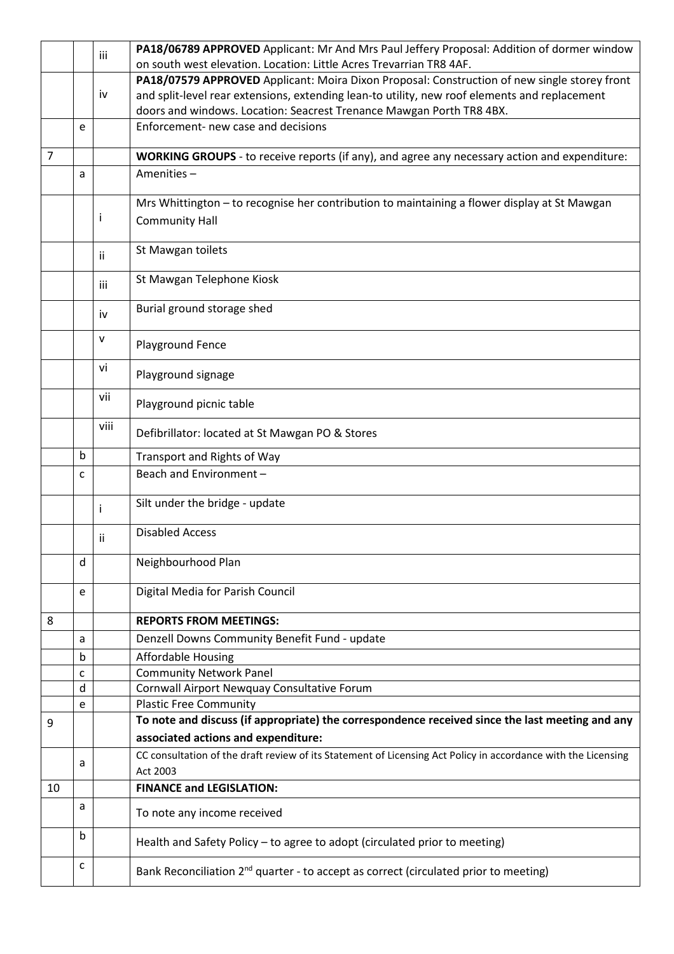|                |   | iii  | PA18/06789 APPROVED Applicant: Mr And Mrs Paul Jeffery Proposal: Addition of dormer window                    |
|----------------|---|------|---------------------------------------------------------------------------------------------------------------|
|                |   |      | on south west elevation. Location: Little Acres Trevarrian TR8 4AF.                                           |
|                |   |      | PA18/07579 APPROVED Applicant: Moira Dixon Proposal: Construction of new single storey front                  |
|                |   | iv   | and split-level rear extensions, extending lean-to utility, new roof elements and replacement                 |
|                |   |      | doors and windows. Location: Seacrest Trenance Mawgan Porth TR8 4BX.                                          |
|                | e |      | Enforcement- new case and decisions                                                                           |
| $\overline{7}$ |   |      | WORKING GROUPS - to receive reports (if any), and agree any necessary action and expenditure:                 |
|                | a |      | Amenities-                                                                                                    |
|                |   |      | Mrs Whittington - to recognise her contribution to maintaining a flower display at St Mawgan                  |
|                |   | Ť    | <b>Community Hall</b>                                                                                         |
|                |   |      |                                                                                                               |
|                |   | ii   | St Mawgan toilets                                                                                             |
|                |   |      | St Mawgan Telephone Kiosk                                                                                     |
|                |   | iii  |                                                                                                               |
|                |   | iv   | Burial ground storage shed                                                                                    |
|                |   | v    |                                                                                                               |
|                |   |      | Playground Fence                                                                                              |
|                |   | vi   | Playground signage                                                                                            |
|                |   | vii  |                                                                                                               |
|                |   |      | Playground picnic table                                                                                       |
|                |   | viii | Defibrillator: located at St Mawgan PO & Stores                                                               |
|                | b |      | Transport and Rights of Way                                                                                   |
|                | C |      | Beach and Environment -                                                                                       |
|                |   |      |                                                                                                               |
|                |   | i    | Silt under the bridge - update                                                                                |
|                |   | ii   | <b>Disabled Access</b>                                                                                        |
|                | d |      | Neighbourhood Plan                                                                                            |
|                |   |      |                                                                                                               |
|                | e |      | Digital Media for Parish Council                                                                              |
| 8              |   |      | <b>REPORTS FROM MEETINGS:</b>                                                                                 |
|                | a |      | Denzell Downs Community Benefit Fund - update                                                                 |
|                | b |      | <b>Affordable Housing</b>                                                                                     |
|                | C |      | <b>Community Network Panel</b>                                                                                |
|                | d |      | Cornwall Airport Newquay Consultative Forum                                                                   |
|                | e |      | <b>Plastic Free Community</b>                                                                                 |
| 9              |   |      | To note and discuss (if appropriate) the correspondence received since the last meeting and any               |
|                |   |      | associated actions and expenditure:                                                                           |
|                | a |      | CC consultation of the draft review of its Statement of Licensing Act Policy in accordance with the Licensing |
|                |   |      | Act 2003                                                                                                      |
| 10             |   |      | <b>FINANCE and LEGISLATION:</b>                                                                               |
|                | a |      | To note any income received                                                                                   |
|                | b |      | Health and Safety Policy - to agree to adopt (circulated prior to meeting)                                    |
|                | с |      | Bank Reconciliation 2 <sup>nd</sup> quarter - to accept as correct (circulated prior to meeting)              |